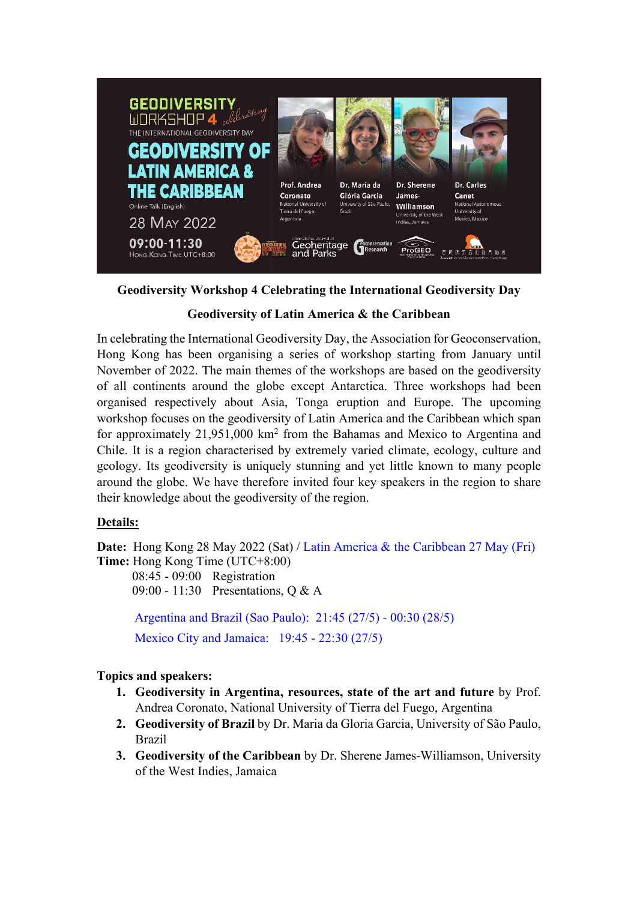

**Geodiversity Workshop 4 Celebrating the International Geodiversity Day**

## **Geodiversity of Latin America & the Caribbean**

In celebrating the International Geodiversity Day, the Association for Geoconservation, Hong Kong has been organising a series of workshop starting from January until November of 2022. The main themes of the workshops are based on the geodiversity of all continents around the globe except Antarctica. Three workshops had been organised respectively about Asia, Tonga eruption and Europe. The upcoming workshop focuses on the geodiversity of Latin America and the Caribbean which span for approximately 21,951,000 km2 from the Bahamas and Mexico to Argentina and Chile. It is a region characterised by extremely varied climate, ecology, culture and geology. Its geodiversity is uniquely stunning and yet little known to many people around the globe. We have therefore invited four key speakers in the region to share their knowledge about the geodiversity of the region.

## **Details:**

**Date:** Hong Kong 28 May 2022 (Sat) / Latin America & the Caribbean 27 May (Fri) **Time:** Hong Kong Time (UTC+8:00) 08:45 - 09:00 Registration 09:00 - 11:30 Presentations, Q & A Argentina and Brazil (Sao Paulo): 21:45 (27/5) - 00:30 (28/5) Mexico City and Jamaica: 19:45 - 22:30 (27/5)

## **Topics and speakers:**

- **1. Geodiversity in Argentina, resources, state of the art and future** by Prof. Andrea Coronato, National University of Tierra del Fuego, Argentina
- **2. Geodiversity of Brazil** by Dr. Maria da Gloria Garcia, University of São Paulo, Brazil
- **3. Geodiversity of the Caribbean** by Dr. Sherene James-Williamson, University of the West Indies, Jamaica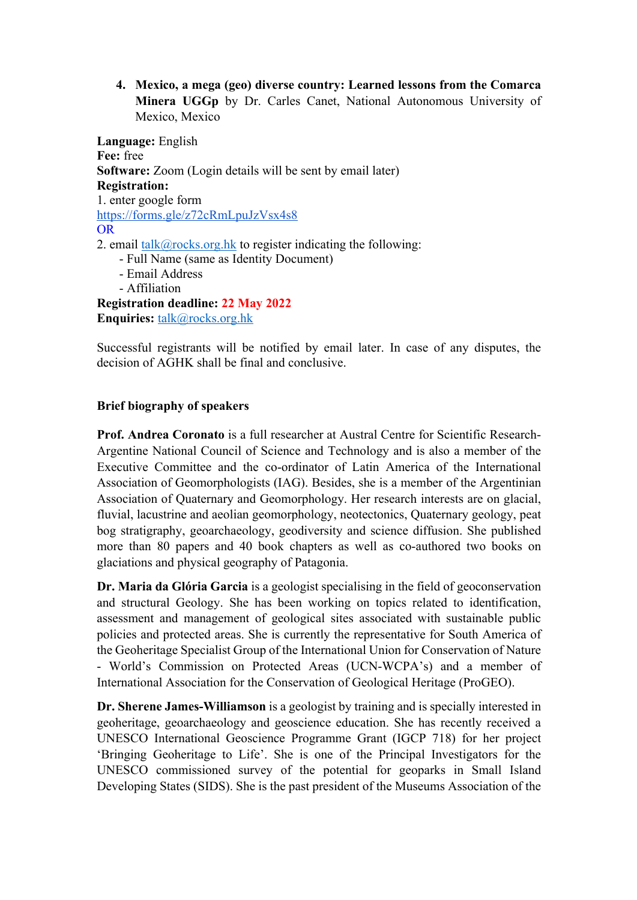**4. Mexico, a mega (geo) diverse country: Learned lessons from the Comarca Minera UGGp** by Dr. Carles Canet, National Autonomous University of Mexico, Mexico

**Language:** English **Fee:** free **Software:** Zoom (Login details will be sent by email later) **Registration:**  1. enter google form https://forms.gle/z72cRmLpuJzVsx4s8 OR 2. email talk@rocks.org.hk to register indicating the following: - Full Name (same as Identity Document) - Email Address - Affiliation **Registration deadline: 22 May 2022 Enquiries:** talk@rocks.org.hk

Successful registrants will be notified by email later. In case of any disputes, the decision of AGHK shall be final and conclusive.

## **Brief biography of speakers**

**Prof. Andrea Coronato** is a full researcher at Austral Centre for Scientific Research-Argentine National Council of Science and Technology and is also a member of the Executive Committee and the co-ordinator of Latin America of the International Association of Geomorphologists (IAG). Besides, she is a member of the Argentinian Association of Quaternary and Geomorphology. Her research interests are on glacial, fluvial, lacustrine and aeolian geomorphology, neotectonics, Quaternary geology, peat bog stratigraphy, geoarchaeology, geodiversity and science diffusion. She published more than 80 papers and 40 book chapters as well as co-authored two books on glaciations and physical geography of Patagonia.

**Dr. Maria da Glória Garcia** is a geologist specialising in the field of geoconservation and structural Geology. She has been working on topics related to identification, assessment and management of geological sites associated with sustainable public policies and protected areas. She is currently the representative for South America of the Geoheritage Specialist Group of the International Union for Conservation of Nature - World's Commission on Protected Areas (UCN-WCPA's) and a member of International Association for the Conservation of Geological Heritage (ProGEO).

**Dr. Sherene James-Williamson** is a geologist by training and is specially interested in geoheritage, geoarchaeology and geoscience education. She has recently received a UNESCO International Geoscience Programme Grant (IGCP 718) for her project 'Bringing Geoheritage to Life'. She is one of the Principal Investigators for the UNESCO commissioned survey of the potential for geoparks in Small Island Developing States (SIDS). She is the past president of the Museums Association of the